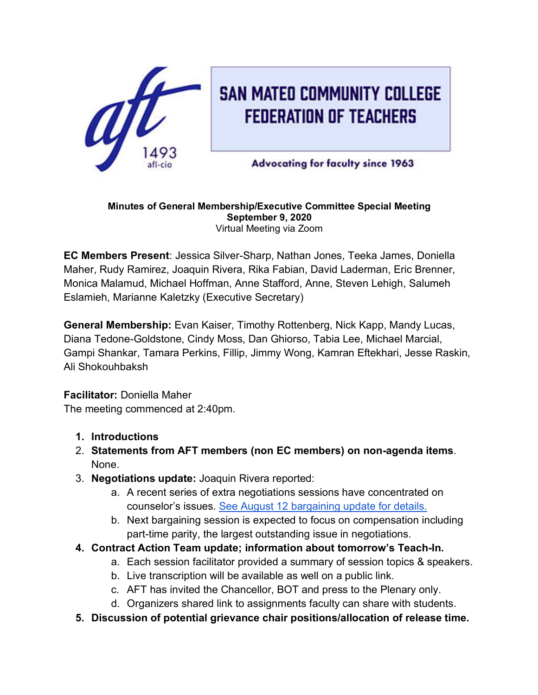

# **SAN MATEO COMMUNITY COLLEGE FEDERATION OF TEACHERS**

**Advocating for faculty since 1963** 

#### **Minutes of General Membership/Executive Committee Special Meeting September 9, 2020** Virtual Meeting via Zoom

**EC Members Present**: Jessica Silver-Sharp, Nathan Jones, Teeka James, Doniella Maher, Rudy Ramirez, Joaquin Rivera, Rika Fabian, David Laderman, Eric Brenner, Monica Malamud, Michael Hoffman, Anne Stafford, Anne, Steven Lehigh, Salumeh Eslamieh, Marianne Kaletzky (Executive Secretary)

**General Membership:** Evan Kaiser, Timothy Rottenberg, Nick Kapp, Mandy Lucas, Diana Tedone-Goldstone, Cindy Moss, Dan Ghiorso, Tabia Lee, Michael Marcial, Gampi Shankar, Tamara Perkins, Fillip, Jimmy Wong, Kamran Eftekhari, Jesse Raskin, Ali Shokouhbaksh

### **Facilitator:** Doniella Maher

The meeting commenced at 2:40pm.

- **1. Introductions**
- 2. **Statements from AFT members (non EC members) on non-agenda items**. None.
- 3. **Negotiations update:** Joaquin Rivera reported:
	- a. A recent series of extra negotiations sessions have concentrated on counselor's issues. See August 12 bargaining update for details.
	- b. Next bargaining session is expected to focus on compensation including part-time parity, the largest outstanding issue in negotiations.
- **4. Contract Action Team update; information about tomorrow's Teach-In.**
	- a. Each session facilitator provided a summary of session topics & speakers.
	- b. Live transcription will be available as well on a public link.
	- c. AFT has invited the Chancellor, BOT and press to the Plenary only.
	- d. Organizers shared link to assignments faculty can share with students.
- **5. Discussion of potential grievance chair positions/allocation of release time.**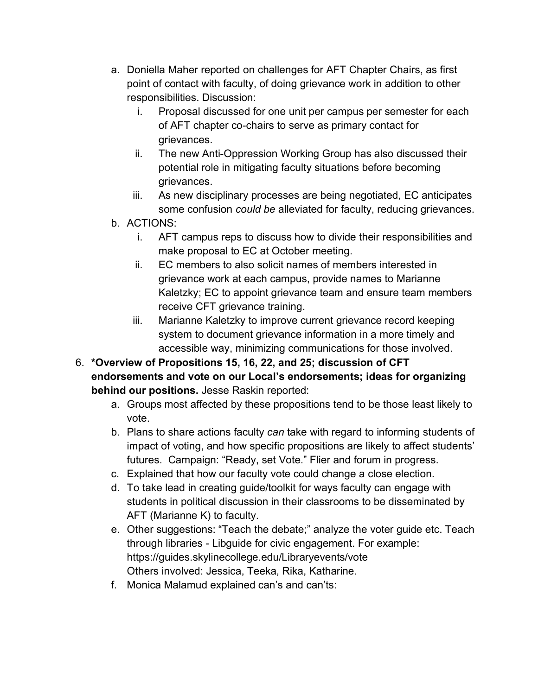- a. Doniella Maher reported on challenges for AFT Chapter Chairs, as first point of contact with faculty, of doing grievance work in addition to other responsibilities. Discussion:
	- i. Proposal discussed for one unit per campus per semester for each of AFT chapter co-chairs to serve as primary contact for grievances.
	- ii. The new Anti-Oppression Working Group has also discussed their potential role in mitigating faculty situations before becoming grievances.
	- iii. As new disciplinary processes are being negotiated, EC anticipates some confusion *could be* alleviated for faculty, reducing grievances.
- b. ACTIONS:
	- i. AFT campus reps to discuss how to divide their responsibilities and make proposal to EC at October meeting.
	- ii. EC members to also solicit names of members interested in grievance work at each campus, provide names to Marianne Kaletzky; EC to appoint grievance team and ensure team members receive CFT grievance training.
	- iii. Marianne Kaletzky to improve current grievance record keeping system to document grievance information in a more timely and accessible way, minimizing communications for those involved.
- 6. **\*Overview of Propositions 15, 16, 22, and 25; discussion of CFT endorsements and vote on our Local's endorsements; ideas for organizing behind our positions.** Jesse Raskin reported:
	- a. Groups most affected by these propositions tend to be those least likely to vote.
	- b. Plans to share actions faculty *can* take with regard to informing students of impact of voting, and how specific propositions are likely to affect students' futures. Campaign: "Ready, set Vote." Flier and forum in progress.
	- c. Explained that how our faculty vote could change a close election.
	- d. To take lead in creating guide/toolkit for ways faculty can engage with students in political discussion in their classrooms to be disseminated by AFT (Marianne K) to faculty.
	- e. Other suggestions: "Teach the debate;" analyze the voter guide etc. Teach through libraries - Libguide for civic engagement. For example: https://guides.skylinecollege.edu/Libraryevents/vote Others involved: Jessica, Teeka, Rika, Katharine.
	- f. Monica Malamud explained can's and can'ts: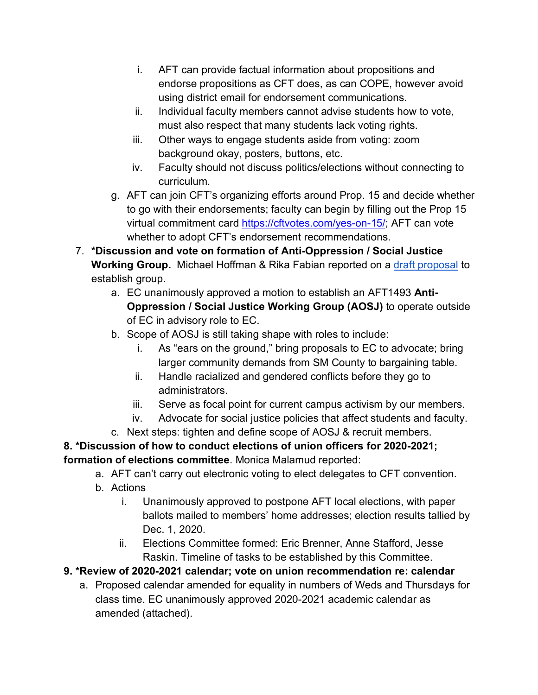- i. AFT can provide factual information about propositions and endorse propositions as CFT does, as can COPE, however avoid using district email for endorsement communications.
- ii. Individual faculty members cannot advise students how to vote, must also respect that many students lack voting rights.
- iii. Other ways to engage students aside from voting: zoom background okay, posters, buttons, etc.
- iv. Faculty should not discuss politics/elections without connecting to curriculum.
- g. AFT can join CFT's organizing efforts around Prop. 15 and decide whether to go with their endorsements; faculty can begin by filling out the Prop 15 virtual commitment card https://cftvotes.com/yes-on-15/; AFT can vote whether to adopt CFT's endorsement recommendations.
- 7. **\*Discussion and vote on formation of Anti-Oppression / Social Justice Working Group.** Michael Hoffman & Rika Fabian reported on a draft proposal to establish group.
	- a. EC unanimously approved a motion to establish an AFT1493 **Anti-Oppression / Social Justice Working Group (AOSJ)** to operate outside of EC in advisory role to EC.
	- b. Scope of AOSJ is still taking shape with roles to include:
		- i. As "ears on the ground," bring proposals to EC to advocate; bring larger community demands from SM County to bargaining table.
		- ii. Handle racialized and gendered conflicts before they go to administrators.
		- iii. Serve as focal point for current campus activism by our members.
		- iv. Advocate for social justice policies that affect students and faculty.
	- c. Next steps: tighten and define scope of AOSJ & recruit members.

**8. \*Discussion of how to conduct elections of union officers for 2020-2021; formation of elections committee**. Monica Malamud reported:

- a. AFT can't carry out electronic voting to elect delegates to CFT convention.
- b. Actions
	- i. Unanimously approved to postpone AFT local elections, with paper ballots mailed to members' home addresses; election results tallied by Dec. 1, 2020.
	- ii. Elections Committee formed: Eric Brenner, Anne Stafford, Jesse Raskin. Timeline of tasks to be established by this Committee.
- **9. \*Review of 2020-2021 calendar; vote on union recommendation re: calendar**
	- a. Proposed calendar amended for equality in numbers of Weds and Thursdays for class time. EC unanimously approved 2020-2021 academic calendar as amended (attached).